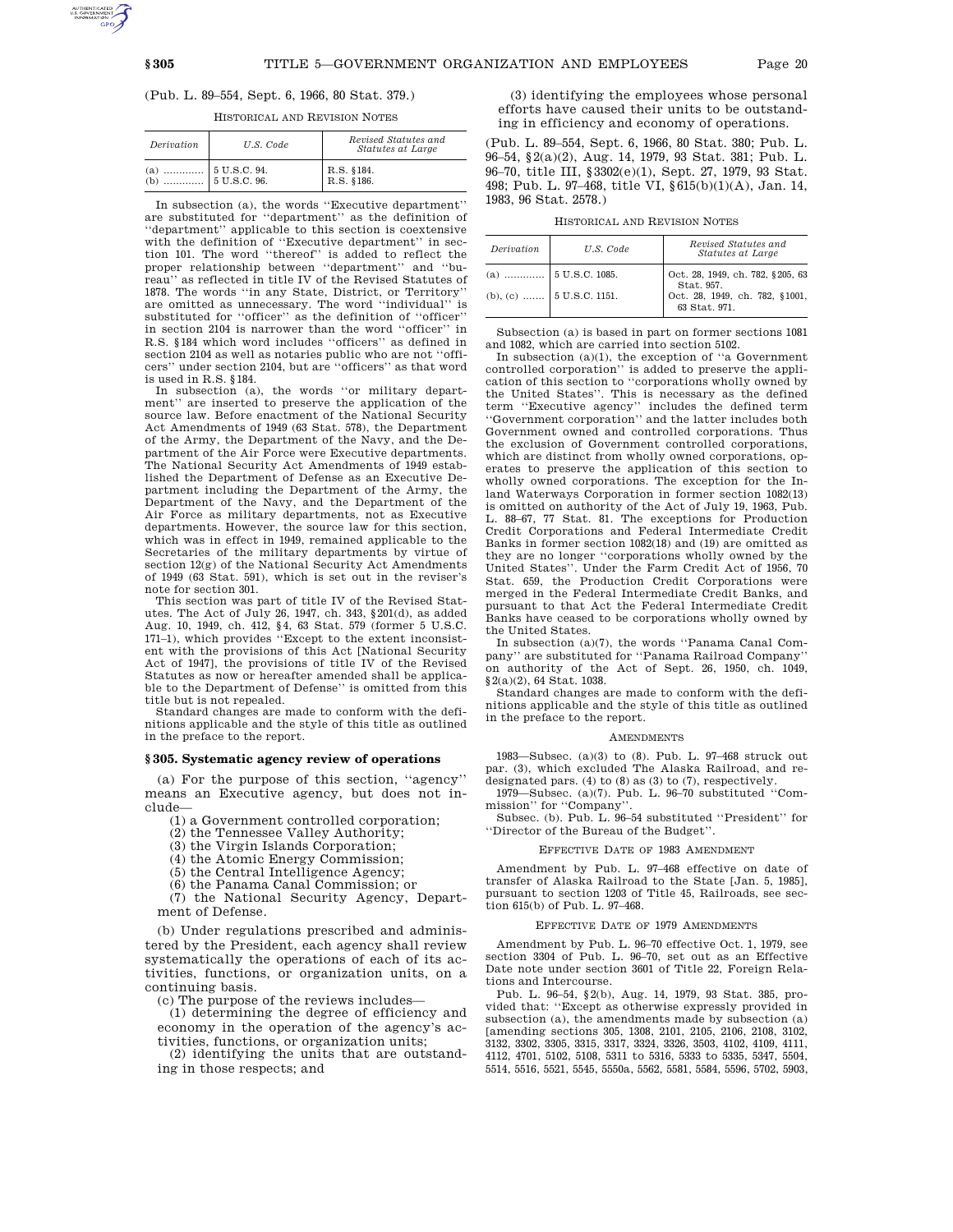# (Pub. L. 89–554, Sept. 6, 1966, 80 Stat. 379.)

HISTORICAL AND REVISION NOTES

| Derivation                                | U.S. Code | Revised Statutes and<br>Statutes at Large |
|-------------------------------------------|-----------|-------------------------------------------|
| $\begin{array}{c} (a) \\ (b) \end{array}$ |           | R.S. §184.<br>R.S. §186.                  |

In subsection (a), the words ''Executive department'' are substituted for ''department'' as the definition of ''department'' applicable to this section is coextensive with the definition of ''Executive department'' in section 101. The word ''thereof'' is added to reflect the proper relationship between ''department'' and ''bureau'' as reflected in title IV of the Revised Statutes of 1878. The words ''in any State, District, or Territory'' are omitted as unnecessary. The word "individual" substituted for "officer" as the definition of "officer" in section 2104 is narrower than the word ''officer'' in R.S. §184 which word includes ''officers'' as defined in section 2104 as well as notaries public who are not ''officers'' under section 2104, but are ''officers'' as that word is used in R.S. §184.

In subsection (a), the words "or military department'' are inserted to preserve the application of the source law. Before enactment of the National Security Act Amendments of 1949 (63 Stat. 578), the Department of the Army, the Department of the Navy, and the Department of the Air Force were Executive departments. The National Security Act Amendments of 1949 established the Department of Defense as an Executive Department including the Department of the Army, the Department of the Navy, and the Department of the Air Force as military departments, not as Executive departments. However, the source law for this section, which was in effect in 1949, remained applicable to the Secretaries of the military departments by virtue of section 12(g) of the National Security Act Amendments of 1949 (63 Stat. 591), which is set out in the reviser's note for section 301.

This section was part of title IV of the Revised Statutes. The Act of July 26, 1947, ch. 343, §201(d), as added Aug. 10, 1949, ch. 412, §4, 63 Stat. 579 (former 5 U.S.C. 171–1), which provides ''Except to the extent inconsistent with the provisions of this Act [National Security Act of 1947], the provisions of title IV of the Revised Statutes as now or hereafter amended shall be applicable to the Department of Defense'' is omitted from this title but is not repealed.

Standard changes are made to conform with the definitions applicable and the style of this title as outlined in the preface to the report.

# **§ 305. Systematic agency review of operations**

(a) For the purpose of this section, ''agency'' means an Executive agency, but does not include—

(1) a Government controlled corporation;

(2) the Tennessee Valley Authority;

(3) the Virgin Islands Corporation;

(4) the Atomic Energy Commission;

(5) the Central Intelligence Agency;

(6) the Panama Canal Commission; or

(7) the National Security Agency, Department of Defense.

(b) Under regulations prescribed and administered by the President, each agency shall review systematically the operations of each of its activities, functions, or organization units, on a continuing basis.

(c) The purpose of the reviews includes—

(1) determining the degree of efficiency and economy in the operation of the agency's activities, functions, or organization units;

(2) identifying the units that are outstanding in those respects; and

(3) identifying the employees whose personal efforts have caused their units to be outstanding in efficiency and economy of operations.

(Pub. L. 89–554, Sept. 6, 1966, 80 Stat. 380; Pub. L. 96–54, §2(a)(2), Aug. 14, 1979, 93 Stat. 381; Pub. L. 96–70, title III, §3302(e)(1), Sept. 27, 1979, 93 Stat. 498; Pub. L. 97–468, title VI, §615(b)(1)(A), Jan. 14, 1983, 96 Stat. 2578.)

HISTORICAL AND REVISION NOTES

| <i>Derivation</i> | U.S. Code                       | Revised Statutes and<br>Statutes at Large       |
|-------------------|---------------------------------|-------------------------------------------------|
|                   |                                 | Oct. 28, 1949, ch. 782, §205, 63<br>Stat. 957.  |
|                   | (b), (c) $\vert$ 5 U.S.C. 1151. | Oct. 28, 1949, ch. 782, §1001,<br>63 Stat. 971. |

Subsection (a) is based in part on former sections 1081 and 1082, which are carried into section 5102.

In subsection (a)(1), the exception of ''a Government controlled corporation'' is added to preserve the application of this section to ''corporations wholly owned by the United States''. This is necessary as the defined term ''Executive agency'' includes the defined term ''Government corporation'' and the latter includes both Government owned and controlled corporations. Thus the exclusion of Government controlled corporations, which are distinct from wholly owned corporations, operates to preserve the application of this section to wholly owned corporations. The exception for the Inland Waterways Corporation in former section 1082(13) is omitted on authority of the Act of July 19, 1963, Pub. L. 88–67, 77 Stat. 81. The exceptions for Production Credit Corporations and Federal Intermediate Credit Banks in former section 1082(18) and (19) are omitted as they are no longer ''corporations wholly owned by the United States''. Under the Farm Credit Act of 1956, 70 Stat. 659, the Production Credit Corporations were merged in the Federal Intermediate Credit Banks, and pursuant to that Act the Federal Intermediate Credit Banks have ceased to be corporations wholly owned by the United States.

In subsection (a)(7), the words ''Panama Canal Company'' are substituted for ''Panama Railroad Company'' on authority of the Act of Sept. 26, 1950, ch. 1049, §2(a)(2), 64 Stat. 1038.

Standard changes are made to conform with the definitions applicable and the style of this title as outlined in the preface to the report.

#### **AMENDMENTS**

1983—Subsec. (a)(3) to (8). Pub. L. 97–468 struck out par. (3), which excluded The Alaska Railroad, and redesignated pars. (4) to (8) as (3) to (7), respectively.

1979—Subsec. (a)(7). Pub. L. 96–70 substituted ''Commission'' for ''Company''.

Subsec. (b). Pub. L. 96–54 substituted ''President'' for ''Director of the Bureau of the Budget''.

#### EFFECTIVE DATE OF 1983 AMENDMENT

Amendment by Pub. L. 97–468 effective on date of transfer of Alaska Railroad to the State [Jan. 5, 1985], pursuant to section 1203 of Title 45, Railroads, see section 615(b) of Pub. L. 97–468.

#### EFFECTIVE DATE OF 1979 AMENDMENTS

Amendment by Pub. L. 96–70 effective Oct. 1, 1979, see section 3304 of Pub. L. 96–70, set out as an Effective Date note under section 3601 of Title 22, Foreign Relations and Intercourse.

Pub. L. 96–54, §2(b), Aug. 14, 1979, 93 Stat. 385, provided that: ''Except as otherwise expressly provided in subsection (a), the amendments made by subsection (a) [amending sections 305, 1308, 2101, 2105, 2106, 2108, 3102, 3132, 3302, 3305, 3315, 3317, 3324, 3326, 3503, 4102, 4109, 4111, 4112, 4701, 5102, 5108, 5311 to 5316, 5333 to 5335, 5347, 5504, 5514, 5516, 5521, 5545, 5550a, 5562, 5581, 5584, 5596, 5702, 5903,